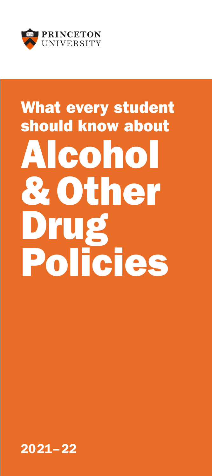

# What every student should know about Alcohol &Other Drug Policies

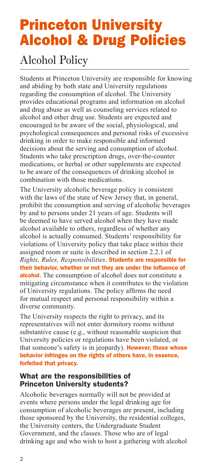## Princeton University Alcohol & Drug Policies

## Alcohol Policy

Students at Princeton University are responsible for knowing and abiding by both state and University regulations regarding the consumption of alcohol. The University provides educational programs and information on alcohol and drug abuse as well as counseling services related to alcohol and other drug use. Students are expected and encouraged to be aware of the social, physiological, and psychological consequences and personal risks of excessive drinking in order to make responsible and informed decisions about the serving and consumption of alcohol. Students who take prescription drugs, over-the-counter medications, or herbal or other supplements are expected to be aware of the consequences of drinking alcohol in combination with those medications.

The University alcoholic beverage policy is consistent with the laws of the state of New Jersey that, in general, prohibit the consumption and serving of alcoholic beverages by and to persons under 21 years of age. Students will be deemed to have served alcohol when they have made alcohol available to others, regardless of whether any alcohol is actually consumed. Students' responsibility for violations of University policy that take place within their assigned room or suite is described in section 2.2.1 of *Rights, Rules, Responsibilities*. Students are responsible for their behavior, whether or not they are under the influence of alcohol. The consumption of alcohol does not constitute a mitigating circumstance when it contributes to the violation of University regulations. The policy affirms the need for mutual respect and personal responsibility within a diverse community.

The University respects the right to privacy, and its representatives will not enter dormitory rooms without substantive cause (e.g., without reasonable suspicion that University policies or regulations have been violated, or that someone's safety is in jeopardy). However, those whose behavior infringes on the rights of others have, in essence, forfeited that privacy.

#### What are the responsibilities of Princeton University students?

Alcoholic beverages normally will not be provided at events where persons under the legal drinking age for consumption of alcoholic beverages are present, including those sponsored by the University, the residential colleges, the University centers, the Undergraduate Student Government, and the classes. Those who are of legal drinking age and who wish to host a gathering with alcohol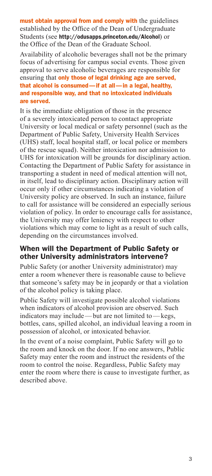must obtain approval from and comply with the guidelines established by the Office of the Dean of Undergraduate Students (see http://odusapps.princeton.edu/Alcohol) or the Office of the Dean of the Graduate School.

Availability of alcoholic beverages shall not be the primary focus of advertising for campus social events. Those given approval to serve alcoholic beverages are responsible for ensuring that only those of legal drinking age are served, that alcohol is consumed—if at all—in a legal, healthy, and responsible way, and that no intoxicated individuals are served.

It is the immediate obligation of those in the presence of a severely intoxicated person to contact appropriate University or local medical or safety personnel (such as the Department of Public Safety, University Health Services (UHS) staff, local hospital staff, or local police or members of the rescue squad). Neither intoxication nor admission to UHS for intoxication will be grounds for disciplinary action. Contacting the Department of Public Safety for assistance in transporting a student in need of medical attention will not, in itself, lead to disciplinary action. Disciplinary action will occur only if other circumstances indicating a violation of University policy are observed. In such an instance, failure to call for assistance will be considered an especially serious violation of policy. In order to encourage calls for assistance, the University may offer leniency with respect to other violations which may come to light as a result of such calls, depending on the circumstances involved.

#### When will the Department of Public Safety or other University administrators intervene?

Public Safety (or another University administrator) may enter a room whenever there is reasonable cause to believe that someone's safety may be in jeopardy or that a violation of the alcohol policy is taking place.

Public Safety will investigate possible alcohol violations when indicators of alcohol provision are observed. Such indicators may include—but are not limited to—kegs, bottles, cans, spilled alcohol, an individual leaving a room in possession of alcohol, or intoxicated behavior.

In the event of a noise complaint, Public Safety will go to the room and knock on the door. If no one answers, Public Safety may enter the room and instruct the residents of the room to control the noise. Regardless, Public Safety may enter the room where there is cause to investigate further, as described above.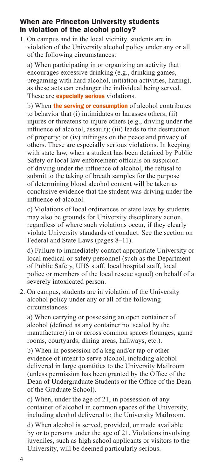#### When are Princeton University students in violation of the alcohol policy?

1. On campus and in the local vicinity, students are in violation of the University alcohol policy under any or all of the following circumstances:

a) When participating in or organizing an activity that encourages excessive drinking (e.g., drinking games, pregaming with hard alcohol, initiation activities, hazing), as these acts can endanger the individual being served. These are **especially serious** violations.

b) When **the serving or consumption** of alcohol contributes to behavior that (i) intimidates or harasses others; (ii) injures or threatens to injure others (e.g., driving under the influence of alcohol, assault); (iii) leads to the destruction of property; or (iv) infringes on the peace and privacy of others. These are especially serious violations. In keeping with state law, when a student has been detained by Public Safety or local law enforcement officials on suspicion of driving under the influence of alcohol, the refusal to submit to the taking of breath samples for the purpose of determining blood alcohol content will be taken as conclusive evidence that the student was driving under the influence of alcohol.

c) Violations of local ordinances or state laws by students may also be grounds for University disciplinary action, regardless of where such violations occur, if they clearly violate University standards of conduct. See the section on Federal and State Laws (pages 8–11).

d) Failure to immediately contact appropriate University or local medical or safety personnel (such as the Department of Public Safety, UHS staff, local hospital staff, local police or members of the local rescue squad) on behalf of a severely intoxicated person.

2. On campus, students are in violation of the University alcohol policy under any or all of the following circumstances:

a) When carrying or possessing an open container of alcohol (defined as any container not sealed by the manufacturer) in or across common spaces (lounges, game rooms, courtyards, dining areas, hallways, etc.).

b) When in possession of a keg and/or tap or other evidence of intent to serve alcohol, including alcohol delivered in large quantities to the University Mailroom (unless permission has been granted by the Office of the Dean of Undergraduate Students or the Office of the Dean of the Graduate School).

c) When, under the age of 21, in possession of any container of alcohol in common spaces of the University, including alcohol delivered to the University Mailroom.

d) When alcohol is served, provided, or made available by or to persons under the age of 21. Violations involving juveniles, such as high school applicants or visitors to the University, will be deemed particularly serious.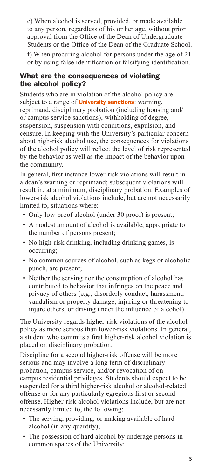e) When alcohol is served, provided, or made available to any person, regardless of his or her age, without prior approval from the Office of the Dean of Undergraduate Students or the Office of the Dean of the Graduate School.

f) When procuring alcohol for persons under the age of 21 or by using false identification or falsifying identification.

#### What are the consequences of violating the alcohol policy?

Students who are in violation of the alcohol policy are subject to a range of **University sanctions**: warning, reprimand, disciplinary probation (including housing and/ or campus service sanctions), withholding of degree, suspension, suspension with conditions, expulsion, and censure. In keeping with the University's particular concern about high-risk alcohol use, the consequences for violations of the alcohol policy will reflect the level of risk represented by the behavior as well as the impact of the behavior upon the community.

In general, first instance lower-risk violations will result in a dean's warning or reprimand; subsequent violations will result in, at a minimum, disciplinary probation. Examples of lower-risk alcohol violations include, but are not necessarily limited to, situations where:

- Only low-proof alcohol (under 30 proof) is present;
- A modest amount of alcohol is available, appropriate to the number of persons present;
- No high-risk drinking, including drinking games, is occurring;
- No common sources of alcohol, such as kegs or alcoholic punch, are present;
- Neither the serving nor the consumption of alcohol has contributed to behavior that infringes on the peace and privacy of others (e.g., disorderly conduct, harassment, vandalism or property damage, injuring or threatening to injure others, or driving under the influence of alcohol).

The University regards higher-risk violations of the alcohol policy as more serious than lower-risk violations. In general, a student who commits a first higher-risk alcohol violation is placed on disciplinary probation.

Discipline for a second higher-risk offense will be more serious and may involve a long term of disciplinary probation, campus service, and/or revocation of oncampus residential privileges. Students should expect to be suspended for a third higher-risk alcohol or alcohol-related offense or for any particularly egregious first or second offense. Higher-risk alcohol violations include, but are not necessarily limited to, the following:

- The serving, providing, or making available of hard alcohol (in any quantity);
- The possession of hard alcohol by underage persons in common spaces of the University;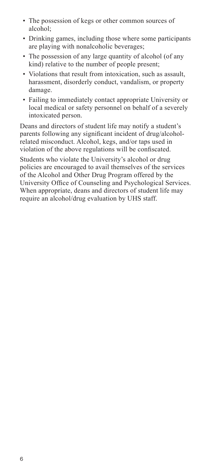- The possession of kegs or other common sources of alcohol;
- Drinking games, including those where some participants are playing with nonalcoholic beverages;
- The possession of any large quantity of alcohol (of any kind) relative to the number of people present;
- Violations that result from intoxication, such as assault, harassment, disorderly conduct, vandalism, or property damage.
- Failing to immediately contact appropriate University or local medical or safety personnel on behalf of a severely intoxicated person.

Deans and directors of student life may notify a student's parents following any significant incident of drug/alcoholrelated misconduct. Alcohol, kegs, and/or taps used in violation of the above regulations will be confiscated.

Students who violate the University's alcohol or drug policies are encouraged to avail themselves of the services of the Alcohol and Other Drug Program offered by the University Office of Counseling and Psychological Services. When appropriate, deans and directors of student life may require an alcohol/drug evaluation by UHS staff.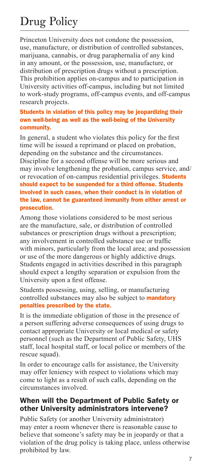## Drug Policy

Princeton University does not condone the possession, use, manufacture, or distribution of controlled substances, marijuana, cannabis, or drug paraphernalia of any kind in any amount, or the possession, use, manufacture, or distribution of prescription drugs without a prescription. This prohibition applies on-campus and to participation in University activities off-campus, including but not limited to work-study programs, off-campus events, and off-campus research projects.

#### Students in violation of this policy may be jeopardizing their own well-being as well as the well-being of the University community.

In general, a student who violates this policy for the first time will be issued a reprimand or placed on probation, depending on the substance and the circumstances. Discipline for a second offense will be more serious and may involve lengthening the probation, campus service, and/ or revocation of on-campus residential privileges. Students should expect to be suspended for a third offense. Students involved in such cases, when their conduct is in violation of the law, cannot be guaranteed immunity from either arrest or prosecution.

Among those violations considered to be most serious are the manufacture, sale, or distribution of controlled substances or prescription drugs without a prescription; any involvement in controlled substance use or traffic with minors, particularly from the local area; and possession or use of the more dangerous or highly addictive drugs. Students engaged in activities described in this paragraph should expect a lengthy separation or expulsion from the University upon a first offense.

Students possessing, using, selling, or manufacturing controlled substances may also be subject to **mandatory** penalties prescribed by the state.

It is the immediate obligation of those in the presence of a person suffering adverse consequences of using drugs to contact appropriate University or local medical or safety personnel (such as the Department of Public Safety, UHS staff, local hospital staff, or local police or members of the rescue squad).

In order to encourage calls for assistance, the University may offer leniency with respect to violations which may come to light as a result of such calls, depending on the circumstances involved.

#### When will the Department of Public Safety or other University administrators intervene?

Public Safety (or another University administrator) may enter a room whenever there is reasonable cause to believe that someone's safety may be in jeopardy or that a violation of the drug policy is taking place, unless otherwise prohibited by law.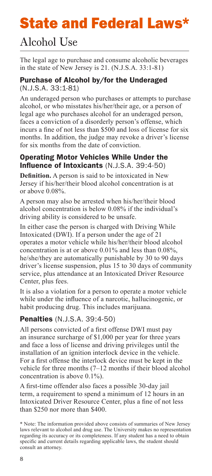# State and Federal Laws\*

## Alcohol Use

The legal age to purchase and consume alcoholic beverages in the state of New Jersey is 21. (N.J.S.A. 33:1-81)

#### Purchase of Alcohol by/for the Underaged (N.J.S.A. 33:1-81)

An underaged person who purchases or attempts to purchase alcohol, or who misstates his/her/their age, or a person of legal age who purchases alcohol for an underaged person, faces a conviction of a disorderly person's offense, which incurs a fine of not less than \$500 and loss of license for six months. In addition, the judge may revoke a driver's license for six months from the date of conviction.

#### Operating Motor Vehicles While Under the Influence of Intoxicants (N.J.S.A. 39:4-50)

**Definition.** A person is said to be intoxicated in New Jersey if his/her/their blood alcohol concentration is at or above 0.08%.

A person may also be arrested when his/her/their blood alcohol concentration is below 0.08% if the individual's driving ability is considered to be unsafe.

In either case the person is charged with Driving While Intoxicated (DWI). If a person under the age of 21 operates a motor vehicle while his/her/their blood alcohol concentration is at or above 0.01% and less than 0.08%, he/she/they are automatically punishable by 30 to 90 days driver's license suspension, plus 15 to 30 days of community service, plus attendance at an Intoxicated Driver Resource Center, plus fees.

It is also a violation for a person to operate a motor vehicle while under the influence of a narcotic, hallucinogenic, or habit producing drug. This includes marijuana.

#### Penalties (N.J.S.A. 39:4-50)

All persons convicted of a first offense DWI must pay an insurance surcharge of \$1,000 per year for three years and face a loss of license and driving privileges until the installation of an ignition interlock device in the vehicle. For a first offense the interlock device must be kept in the vehicle for three months (7–12 months if their blood alcohol concentration is above 0.1%).

A first-time offender also faces a possible 30-day jail term, a requirement to spend a minimum of 12 hours in an Intoxicated Driver Resource Center, plus a fine of not less than \$250 nor more than \$400.

<sup>\*</sup> Note: The information provided above consists of summaries of New Jersey laws relevant to alcohol and drug use. The University makes no representation regarding its accuracy or its completeness. If any student has a need to obtain specific and current details regarding applicable laws, the student should consult an attorney.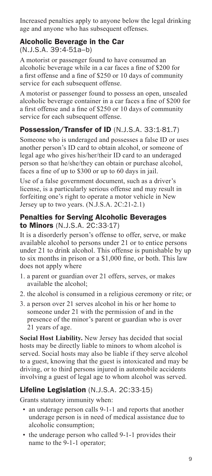Increased penalties apply to anyone below the legal drinking age and anyone who has subsequent offenses.

#### Alcoholic Beverage in the Car (N.J.S.A. 39:4-51a–b)

A motorist or passenger found to have consumed an alcoholic beverage while in a car faces a fine of \$200 for a first offense and a fine of \$250 or 10 days of community service for each subsequent offense.

A motorist or passenger found to possess an open, unsealed alcoholic beverage container in a car faces a fine of \$200 for a first offense and a fine of \$250 or 10 days of community service for each subsequent offense.

#### Possession/Transfer of ID (N.J.S.A. 33:1-81.7)

Someone who is underaged and possesses a false ID or uses another person's ID card to obtain alcohol, or someone of legal age who gives his/her/their ID card to an underaged person so that he/she/they can obtain or purchase alcohol, faces a fine of up to \$300 or up to 60 days in jail.

Use of a false government document, such as a driver's license, is a particularly serious offense and may result in forfeiting one's right to operate a motor vehicle in New Jersey up to two years. (N.J.S.A. 2C:21-2.1)

#### Penalties for Serving Alcoholic Beverages to Minors (N.J.S.A. 2C:33-17)

It is a disorderly person's offense to offer, serve, or make available alcohol to persons under 21 or to entice persons under 21 to drink alcohol. This offense is punishable by up to six months in prison or a \$1,000 fine, or both. This law does not apply where

- 1. a parent or guardian over 21 offers, serves, or makes available the alcohol;
- 2. the alcohol is consumed in a religious ceremony or rite; or
- 3. a person over 21 serves alcohol in his or her home to someone under 21 with the permission of and in the presence of the minor's parent or guardian who is over 21 years of age.

**Social Host Liability.** New Jersey has decided that social hosts may be directly liable to minors to whom alcohol is served. Social hosts may also be liable if they serve alcohol to a guest, knowing that the guest is intoxicated and may be driving, or to third persons injured in automobile accidents involving a guest of legal age to whom alcohol was served.

#### Lifeline Legislation (N.J.S.A. 2C:33-15)

Grants statutory immunity when:

- an underage person calls 9-1-1 and reports that another underage person is in need of medical assistance due to alcoholic consumption;
- the underage person who called 9-1-1 provides their name to the 9-1-1 operator;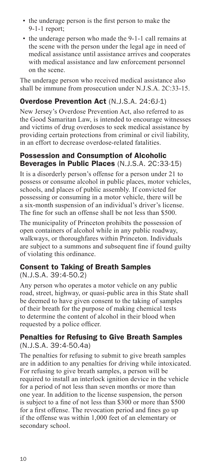- the underage person is the first person to make the 9-1-1 report;
- the underage person who made the 9-1-1 call remains at the scene with the person under the legal age in need of medical assistance until assistance arrives and cooperates with medical assistance and law enforcement personnel on the scene.

The underage person who received medical assistance also shall be immune from prosecution under N.J.S.A. 2C:33-15.

#### Overdose Prevention Act (N.J.S.A. 24:6J-1)

New Jersey's Overdose Prevention Act, also referred to as the Good Samaritan Law, is intended to encourage witnesses and victims of drug overdoses to seek medical assistance by providing certain protections from criminal or civil liability, in an effort to decrease overdose-related fatalities.

#### Possession and Consumption of Alcoholic Beverages in Public Places (N.J.S.A. 2C:33-15)

It is a disorderly person's offense for a person under 21 to possess or consume alcohol in public places, motor vehicles, schools, and places of public assembly. If convicted for possessing or consuming in a motor vehicle, there will be a six-month suspension of an individual's driver's license. The fine for such an offense shall be not less than \$500.

The municipality of Princeton prohibits the possession of open containers of alcohol while in any public roadway, walkways, or thoroughfares within Princeton. Individuals are subject to a summons and subsequent fine if found guilty of violating this ordinance.

#### Consent to Taking of Breath Samples (N.J.S.A. 39:4-50.2)

Any person who operates a motor vehicle on any public road, street, highway, or quasi-public area in this State shall be deemed to have given consent to the taking of samples of their breath for the purpose of making chemical tests to determine the content of alcohol in their blood when requested by a police officer.

#### Penalties for Refusing to Give Breath Samples (N.J.S.A. 39:4-50.4a)

The penalties for refusing to submit to give breath samples are in addition to any penalties for driving while intoxicated. For refusing to give breath samples, a person will be required to install an interlock ignition device in the vehicle for a period of not less than seven months or more than one year. In addition to the license suspension, the person is subject to a fine of not less than \$300 or more than \$500 for a first offense. The revocation period and fines go up if the offense was within 1,000 feet of an elementary or secondary school.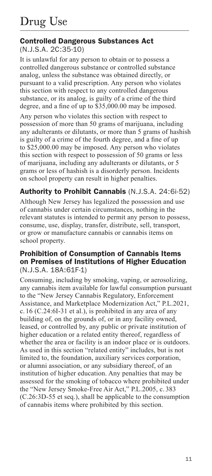#### Controlled Dangerous Substances Act (N.J.S.A. 2C:35-10)

It is unlawful for any person to obtain or to possess a controlled dangerous substance or controlled substance analog, unless the substance was obtained directly, or pursuant to a valid prescription. Any person who violates this section with respect to any controlled dangerous substance, or its analog, is guilty of a crime of the third degree, and a fine of up to \$35,000.00 may be imposed.

Any person who violates this section with respect to possession of more than 50 grams of marijuana, including any adulterants or dilutants, or more than 5 grams of hashish is guilty of a crime of the fourth degree, and a fine of up to \$25,000.00 may be imposed. Any person who violates this section with respect to possession of 50 grams or less of marijuana, including any adulterants or dilutants, or 5 grams or less of hashish is a disorderly person. Incidents on school property can result in higher penalties.

#### Authority to Prohibit Cannabis (N.J.S.A. 24:6i-52)

Although New Jersey has legalized the possession and use of cannabis under certain circumstances, nothing in the relevant statutes is intended to permit any person to possess, consume, use, display, transfer, distribute, sell, transport, or grow or manufacture cannabis or cannabis items on school property.

#### Prohibition of Consumption of Cannabis Items on Premises of Institutions of Higher Education (N.J.S.A. 18A:61F-1)

Consuming, including by smoking, vaping, or aerosolizing, any cannabis item available for lawful consumption pursuant to the "New Jersey Cannabis Regulatory, Enforcement Assistance, and Marketplace Modernization Act," P.L.2021, c. 16 (C.24:6I-31 et al.), is prohibited in any area of any building of, on the grounds of, or in any facility owned, leased, or controlled by, any public or private institution of higher education or a related entity thereof, regardless of whether the area or facility is an indoor place or is outdoors. As used in this section "related entity" includes, but is not limited to, the foundation, auxiliary services corporation, or alumni association, or any subsidiary thereof, of an institution of higher education. Any penalties that may be assessed for the smoking of tobacco where prohibited under the "New Jersey Smoke-Free Air Act," P.L.2005, c. 383 (C.26:3D-55 et seq.), shall be applicable to the consumption of cannabis items where prohibited by this section.